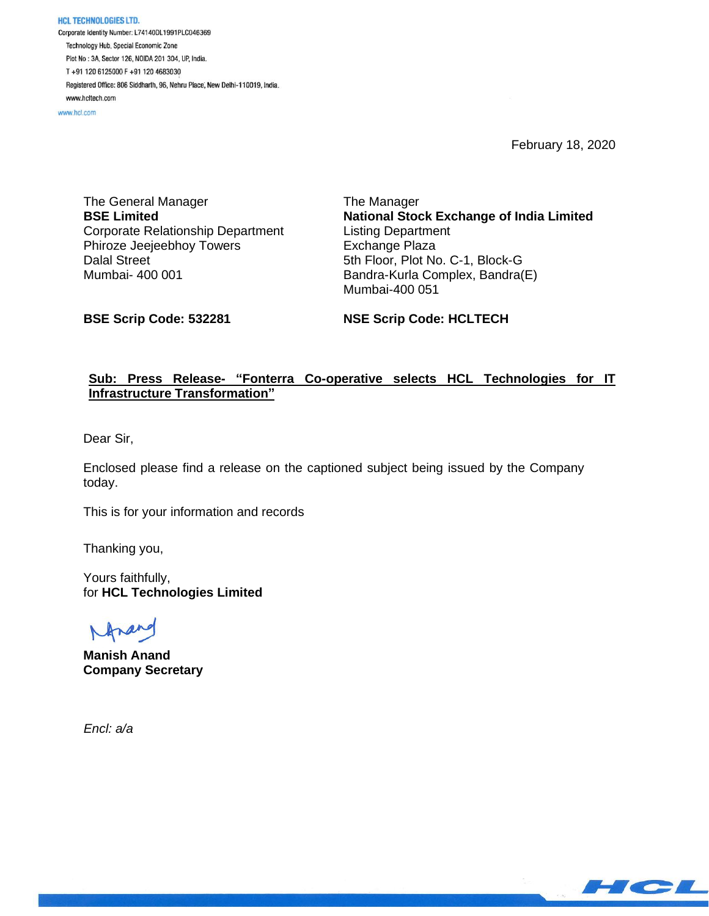**HCL TECHNOLOGIES LTD.** Corporate Identity Number: L74140DL1991PLC046369 Technology Hub, Special Economic Zone Plot No: 3A, Sector 126, NOIDA 201 304, UP, India. T+91 120 6125000 F+91 120 4683030 Registered Office: 806 Siddharth, 96, Nehru Place, New Delhi-110019, India. www.hcltech.com

www.hcl.com

February 18, 2020

The General Manager **BSE Limited** Corporate Relationship Department Phiroze Jeejeebhoy Towers Dalal Street Mumbai- 400 001

The Manager **National Stock Exchange of India Limited** Listing Department Exchange Plaza 5th Floor, Plot No. C-1, Block-G Bandra-Kurla Complex, Bandra(E) Mumbai-400 051

**BSE Scrip Code: 532281**

**NSE Scrip Code: HCLTECH**

## **Sub: Press Release- "Fonterra Co-operative selects HCL Technologies for IT Infrastructure Transformation"**

Dear Sir,

Enclosed please find a release on the captioned subject being issued by the Company today.

This is for your information and records

Thanking you,

Yours faithfully, for **HCL Technologies Limited**

**Manish Anand Company Secretary**

 *Encl: a/a*

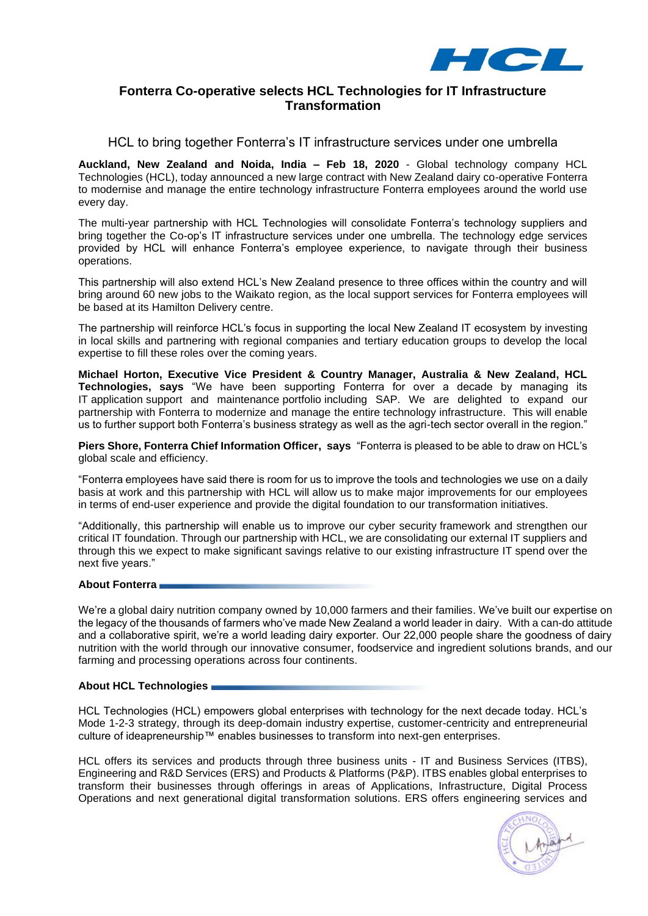

# **Fonterra Co-operative selects HCL Technologies for IT Infrastructure Transformation**

HCL to bring together Fonterra's IT infrastructure services under one umbrella

**Auckland, New Zealand and Noida, India – Feb 18, 2020** - Global technology company HCL Technologies (HCL), today announced a new large contract with New Zealand dairy co-operative Fonterra to modernise and manage the entire technology infrastructure Fonterra employees around the world use every day.

The multi-year partnership with HCL Technologies will consolidate Fonterra's technology suppliers and bring together the Co-op's IT infrastructure services under one umbrella. The technology edge services provided by HCL will enhance Fonterra's employee experience, to navigate through their business operations.

This partnership will also extend HCL's New Zealand presence to three offices within the country and will bring around 60 new jobs to the Waikato region, as the local support services for Fonterra employees will be based at its Hamilton Delivery centre.

The partnership will reinforce HCL's focus in supporting the local New Zealand IT ecosystem by investing in local skills and partnering with regional companies and tertiary education groups to develop the local expertise to fill these roles over the coming years.

**Michael Horton, Executive Vice President & Country Manager, Australia & New Zealand, HCL Technologies, says** "We have been supporting Fonterra for over a decade by managing its IT application support and maintenance portfolio including SAP. We are delighted to expand our partnership with Fonterra to modernize and manage the entire technology infrastructure. This will enable us to further support both Fonterra's business strategy as well as the agri-tech sector overall in the region."

**Piers Shore, Fonterra Chief Information Officer, says** "Fonterra is pleased to be able to draw on HCL's global scale and efficiency.

"Fonterra employees have said there is room for us to improve the tools and technologies we use on a daily basis at work and this partnership with HCL will allow us to make major improvements for our employees in terms of end-user experience and provide the digital foundation to our transformation initiatives.

"Additionally, this partnership will enable us to improve our cyber security framework and strengthen our critical IT foundation. Through our partnership with HCL, we are consolidating our external IT suppliers and through this we expect to make significant savings relative to our existing infrastructure IT spend over the next five years."

### **About Fonterra**

[We're](https://www.fonterra.com/nz/en.html) a global dairy nutrition company owned by [10,000 farmers and their families.](https://www.fonterra.com/nz/en/about-us/meet-the-farmers.html) We've built our expertise on the legacy of the thousands of farmers who've made New Zealand a world leader in dairy. With a can-do attitude and a collaborative spirit, we're a world leading dairy exporter. Our 22,000 people share the goodness of dairy nutrition with the world through our innovative [consumer,](https://www.fonterra.com/nz/en/our-brands.html) [foodservice](https://www.anchorfoodprofessionals.com/global/en.html) and [ingredient solutions](https://www.nzmp.com/) brands, and our farming and processing operations across four continents.

### **About HCL Technologies**

HCL Technologies (HCL) empowers global enterprises with technology for the next decade today. HCL's Mode 1-2-3 strategy, through its deep-domain industry expertise, customer-centricity and entrepreneurial culture of ideapreneurship™ enables businesses to transform into next-gen enterprises.

HCL offers its services and products through three business units - IT and Business Services (ITBS), Engineering and R&D Services (ERS) and Products & Platforms (P&P). ITBS enables global enterprises to transform their businesses through offerings in areas of Applications, Infrastructure, Digital Process Operations and next generational digital transformation solutions. ERS offers engineering services and